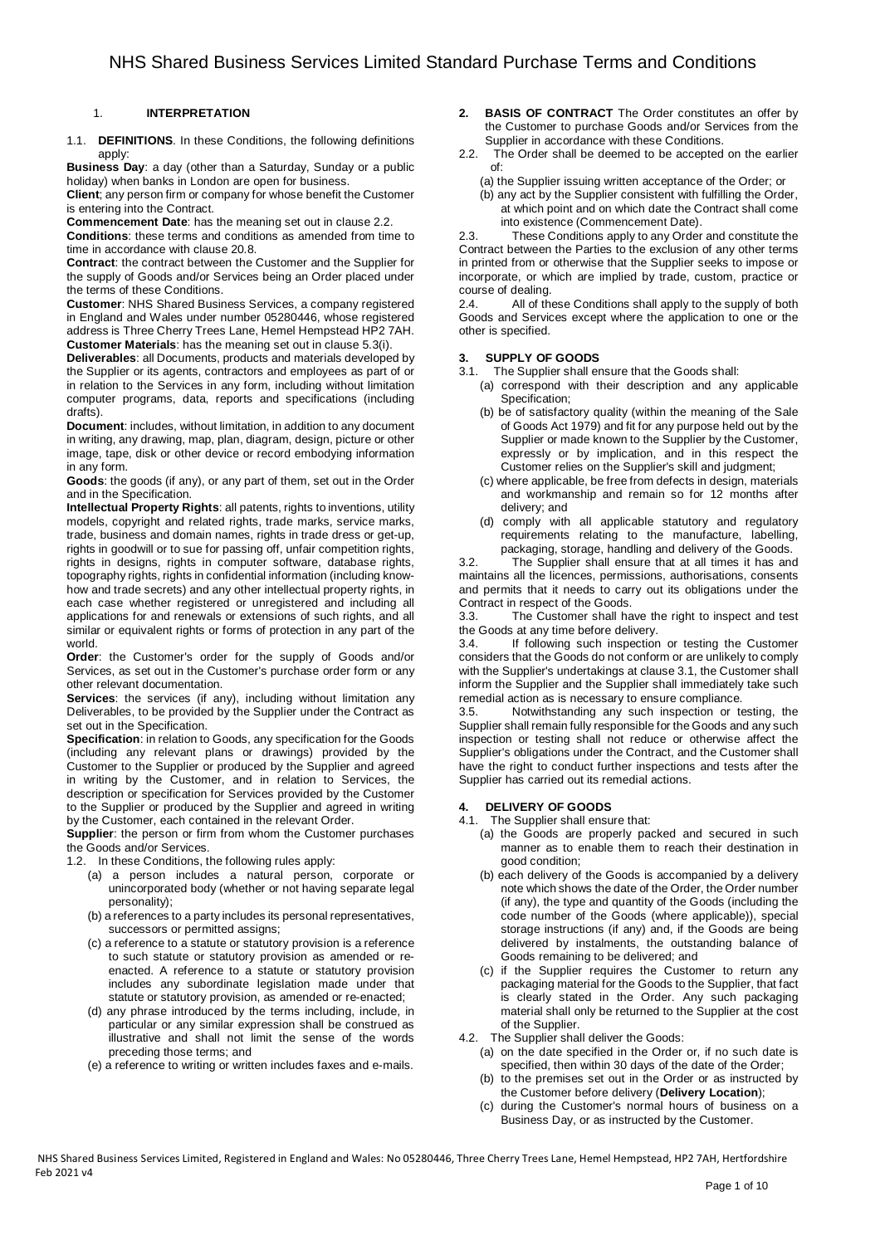# 1. **INTERPRETATION**

1.1. **DEFINITIONS**. In these Conditions, the following definitions apply:

**Business Day**: a day (other than a Saturday, Sunday or a public holiday) when banks in London are open for business.

**Client**; any person firm or company for whose benefit the Customer is entering into the Contract.

**Commencement Date**: has the meaning set out in clause 2.2.

**Conditions**: these terms and conditions as amended from time to time in accordance with clause 20.8.

**Contract**: the contract between the Customer and the Supplier for the supply of Goods and/or Services being an Order placed under the terms of these Conditions.

**Customer**: NHS Shared Business Services, a company registered in England and Wales under number 05280446, whose registered address is Three Cherry Trees Lane, Hemel Hempstead HP2 7AH. **Customer Materials**: has the meaning set out in clause 5.3(i).

**Deliverables**: all Documents, products and materials developed by the Supplier or its agents, contractors and employees as part of or in relation to the Services in any form, including without limitation computer programs, data, reports and specifications (including drafts).

**Document**: includes, without limitation, in addition to any document in writing, any drawing, map, plan, diagram, design, picture or other image, tape, disk or other device or record embodying information in any form.

**Goods**: the goods (if any), or any part of them, set out in the Order and in the Specification.

**Intellectual Property Rights**: all patents, rights to inventions, utility models, copyright and related rights, trade marks, service marks, trade, business and domain names, rights in trade dress or get-up, rights in goodwill or to sue for passing off, unfair competition rights, rights in designs, rights in computer software, database rights, topography rights, rights in confidential information (including knowhow and trade secrets) and any other intellectual property rights, in each case whether registered or unregistered and including all applications for and renewals or extensions of such rights, and all similar or equivalent rights or forms of protection in any part of the world.

**Order**: the Customer's order for the supply of Goods and/or Services, as set out in the Customer's purchase order form or any other relevant documentation.

**Services:** the services (if any), including without limitation any Deliverables, to be provided by the Supplier under the Contract as set out in the Specification.

**Specification**: in relation to Goods, any specification for the Goods (including any relevant plans or drawings) provided by the Customer to the Supplier or produced by the Supplier and agreed in writing by the Customer, and in relation to Services, the description or specification for Services provided by the Customer to the Supplier or produced by the Supplier and agreed in writing by the Customer, each contained in the relevant Order.

**Supplier**: the person or firm from whom the Customer purchases the Goods and/or Services.

1.2. In these Conditions, the following rules apply:

- (a) a person includes a natural person, corporate or unincorporated body (whether or not having separate legal personality);
- (b) a references to a party includes its personal representatives, successors or permitted assigns;
- (c) a reference to a statute or statutory provision is a reference to such statute or statutory provision as amended or reenacted. A reference to a statute or statutory provision includes any subordinate legislation made under that statute or statutory provision, as amended or re-enacted;
- (d) any phrase introduced by the terms including, include, in particular or any similar expression shall be construed as illustrative and shall not limit the sense of the words preceding those terms; and
- (e) a reference to writing or written includes faxes and e-mails.
- **2. BASIS OF CONTRACT** The Order constitutes an offer by the Customer to purchase Goods and/or Services from the Supplier in accordance with these Conditions.<br>2.2. The Order shall be deemed to be accepted
- The Order shall be deemed to be accepted on the earlier of:
	- (a) the Supplier issuing written acceptance of the Order; or
	- (b) any act by the Supplier consistent with fulfilling the Order, at which point and on which date the Contract shall come into existence (Commencement Date).

2.3. These Conditions apply to any Order and constitute the Contract between the Parties to the exclusion of any other terms in printed from or otherwise that the Supplier seeks to impose or incorporate, or which are implied by trade, custom, practice or course of dealing.

2.4. All of these Conditions shall apply to the supply of both Goods and Services except where the application to one or the other is specified.

# **3. SUPPLY OF GOODS**

- 3.1. The Supplier shall ensure that the Goods shall:
	- (a) correspond with their description and any applicable Specification:
		- (b) be of satisfactory quality (within the meaning of the Sale of Goods Act 1979) and fit for any purpose held out by the Supplier or made known to the Supplier by the Customer, expressly or by implication, and in this respect the Customer relies on the Supplier's skill and judgment;
		- (c) where applicable, be free from defects in design, materials and workmanship and remain so for 12 months after delivery; and
		- (d) comply with all applicable statutory and regulatory requirements relating to the manufacture, labelling, packaging, storage, handling and delivery of the Goods.

3.2. The Supplier shall ensure that at all times it has and maintains all the licences, permissions, authorisations, consents and permits that it needs to carry out its obligations under the Contract in respect of the Goods.

3.3. The Customer shall have the right to inspect and test the Goods at any time before delivery.<br>3.4 **If** following such inspection

If following such inspection or testing the Customer considers that the Goods do not conform or are unlikely to comply with the Supplier's undertakings at clause 3.1, the Customer shall inform the Supplier and the Supplier shall immediately take such remedial action as is necessary to ensure compliance.

3.5. Notwithstanding any such inspection or testing, the Supplier shall remain fully responsible for the Goods and any such inspection or testing shall not reduce or otherwise affect the Supplier's obligations under the Contract, and the Customer shall have the right to conduct further inspections and tests after the Supplier has carried out its remedial actions.

## **4. DELIVERY OF GOODS**

- 4.1. The Supplier shall ensure that:
	- (a) the Goods are properly packed and secured in such manner as to enable them to reach their destination in good condition;
	- (b) each delivery of the Goods is accompanied by a delivery note which shows the date of the Order, the Order number (if any), the type and quantity of the Goods (including the code number of the Goods (where applicable)), special storage instructions (if any) and, if the Goods are being delivered by instalments, the outstanding balance of Goods remaining to be delivered; and
	- (c) if the Supplier requires the Customer to return any packaging material for the Goods to the Supplier, that fact is clearly stated in the Order. Any such packaging material shall only be returned to the Supplier at the cost of the Supplier.
- 4.2. The Supplier shall deliver the Goods:
	- (a) on the date specified in the Order or, if no such date is specified, then within 30 days of the date of the Order;
	- (b) to the premises set out in the Order or as instructed by the Customer before delivery (**Delivery Location**);
	- during the Customer's normal hours of business on a Business Day, or as instructed by the Customer.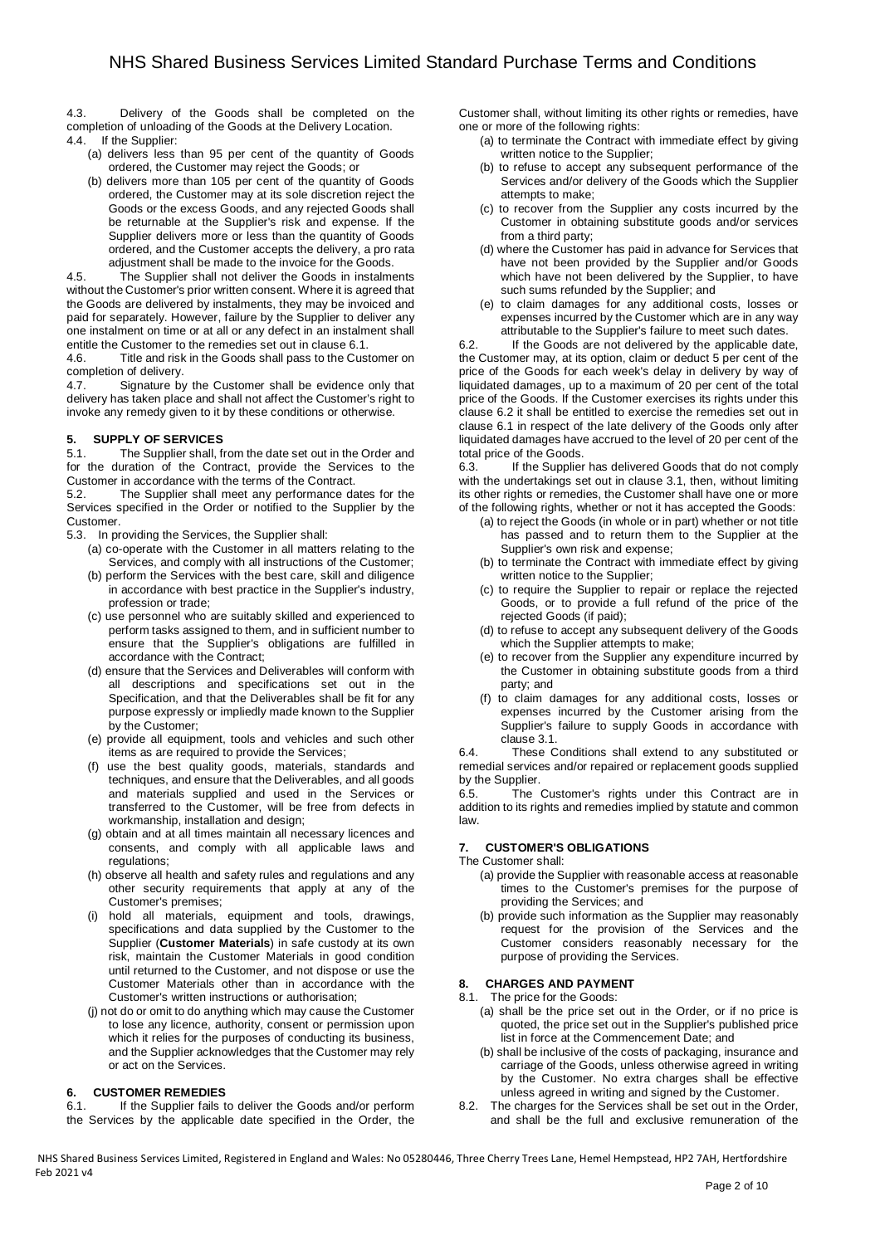4.3. Delivery of the Goods shall be completed on the completion of unloading of the Goods at the Delivery Location. 4.4. If the Supplier:

- - (a) delivers less than 95 per cent of the quantity of Goods ordered, the Customer may reject the Goods; or
	- (b) delivers more than 105 per cent of the quantity of Goods ordered, the Customer may at its sole discretion reject the Goods or the excess Goods, and any rejected Goods shall be returnable at the Supplier's risk and expense. If the Supplier delivers more or less than the quantity of Goods ordered, and the Customer accepts the delivery, a pro rata adjustment shall be made to the invoice for the Goods.

4.5. The Supplier shall not deliver the Goods in instalments without the Customer's prior written consent. Where it is agreed that the Goods are delivered by instalments, they may be invoiced and paid for separately. However, failure by the Supplier to deliver any one instalment on time or at all or any defect in an instalment shall entitle the Customer to the remedies set out in clause 6.1.

4.6. Title and risk in the Goods shall pass to the Customer on completion of delivery.

4.7. Signature by the Customer shall be evidence only that delivery has taken place and shall not affect the Customer's right to invoke any remedy given to it by these conditions or otherwise.

## **5. SUPPLY OF SERVICES**

5.1. The Supplier shall, from the date set out in the Order and for the duration of the Contract, provide the Services to the Customer in accordance with the terms of the Contract.<br>5.2. The Supplier shall meet any performance da

The Supplier shall meet any performance dates for the Services specified in the Order or notified to the Supplier by the Customer.

5.3. In providing the Services, the Supplier shall:

- (a) co-operate with the Customer in all matters relating to the Services, and comply with all instructions of the Customer;
- (b) perform the Services with the best care, skill and diligence in accordance with best practice in the Supplier's industry, profession or trade;
- (c) use personnel who are suitably skilled and experienced to perform tasks assigned to them, and in sufficient number to ensure that the Supplier's obligations are fulfilled in accordance with the Contract;
- (d) ensure that the Services and Deliverables will conform with all descriptions and specifications set out in the Specification, and that the Deliverables shall be fit for any purpose expressly or impliedly made known to the Supplier by the Customer;
- (e) provide all equipment, tools and vehicles and such other items as are required to provide the Services;
- (f) use the best quality goods, materials, standards and techniques, and ensure that the Deliverables, and all goods and materials supplied and used in the Services or transferred to the Customer, will be free from defects in workmanship, installation and design;
- (g) obtain and at all times maintain all necessary licences and consents, and comply with all applicable laws and regulations;
- (h) observe all health and safety rules and regulations and any other security requirements that apply at any of the Customer's premises;
- (i) hold all materials, equipment and tools, drawings, specifications and data supplied by the Customer to the Supplier (**Customer Materials**) in safe custody at its own risk, maintain the Customer Materials in good condition until returned to the Customer, and not dispose or use the Customer Materials other than in accordance with the Customer's written instructions or authorisation;
- (j) not do or omit to do anything which may cause the Customer to lose any licence, authority, consent or permission upon which it relies for the purposes of conducting its business, and the Supplier acknowledges that the Customer may rely or act on the Services.

## **6. CUSTOMER REMEDIES**

6.1. If the Supplier fails to deliver the Goods and/or perform the Services by the applicable date specified in the Order, the Customer shall, without limiting its other rights or remedies, have one or more of the following rights:

- (a) to terminate the Contract with immediate effect by giving written notice to the Supplier;
- (b) to refuse to accept any subsequent performance of the Services and/or delivery of the Goods which the Supplier attempts to make;
- (c) to recover from the Supplier any costs incurred by the Customer in obtaining substitute goods and/or services from a third party;
- (d) where the Customer has paid in advance for Services that have not been provided by the Supplier and/or Goods which have not been delivered by the Supplier, to have such sums refunded by the Supplier; and
- (e) to claim damages for any additional costs, losses or expenses incurred by the Customer which are in any way attributable to the Supplier's failure to meet such dates.

6.2. If the Goods are not delivered by the applicable date, the Customer may, at its option, claim or deduct 5 per cent of the price of the Goods for each week's delay in delivery by way of liquidated damages, up to a maximum of 20 per cent of the total price of the Goods. If the Customer exercises its rights under this clause 6.2 it shall be entitled to exercise the remedies set out in clause 6.1 in respect of the late delivery of the Goods only after liquidated damages have accrued to the level of 20 per cent of the total price of the Goods.

6.3. If the Supplier has delivered Goods that do not comply with the undertakings set out in clause 3.1, then, without limiting its other rights or remedies, the Customer shall have one or more of the following rights, whether or not it has accepted the Goods:

- (a) to reject the Goods (in whole or in part) whether or not title has passed and to return them to the Supplier at the Supplier's own risk and expense;
- (b) to terminate the Contract with immediate effect by giving written notice to the Supplier;
- (c) to require the Supplier to repair or replace the rejected Goods, or to provide a full refund of the price of the rejected Goods (if paid);
- (d) to refuse to accept any subsequent delivery of the Goods which the Supplier attempts to make:
- (e) to recover from the Supplier any expenditure incurred by the Customer in obtaining substitute goods from a third party; and
- (f) to claim damages for any additional costs, losses or expenses incurred by the Customer arising from the Supplier's failure to supply Goods in accordance with clause 3.1.

6.4. These Conditions shall extend to any substituted or remedial services and/or repaired or replacement goods supplied by the Supplier.

6.5. The Customer's rights under this Contract are in addition to its rights and remedies implied by statute and common law.

# **7. CUSTOMER'S OBLIGATIONS**

The Customer shall:

- (a) provide the Supplier with reasonable access at reasonable times to the Customer's premises for the purpose of providing the Services; and
- (b) provide such information as the Supplier may reasonably request for the provision of the Services and the Customer considers reasonably necessary for the purpose of providing the Services.

# **8. CHARGES AND PAYMENT**

- 8.1. The price for the Goods:
	- (a) shall be the price set out in the Order, or if no price is quoted, the price set out in the Supplier's published price list in force at the Commencement Date; and
	- (b) shall be inclusive of the costs of packaging, insurance and carriage of the Goods, unless otherwise agreed in writing by the Customer. No extra charges shall be effective unless agreed in writing and signed by the Customer.
- 8.2. The charges for the Services shall be set out in the Order, and shall be the full and exclusive remuneration of the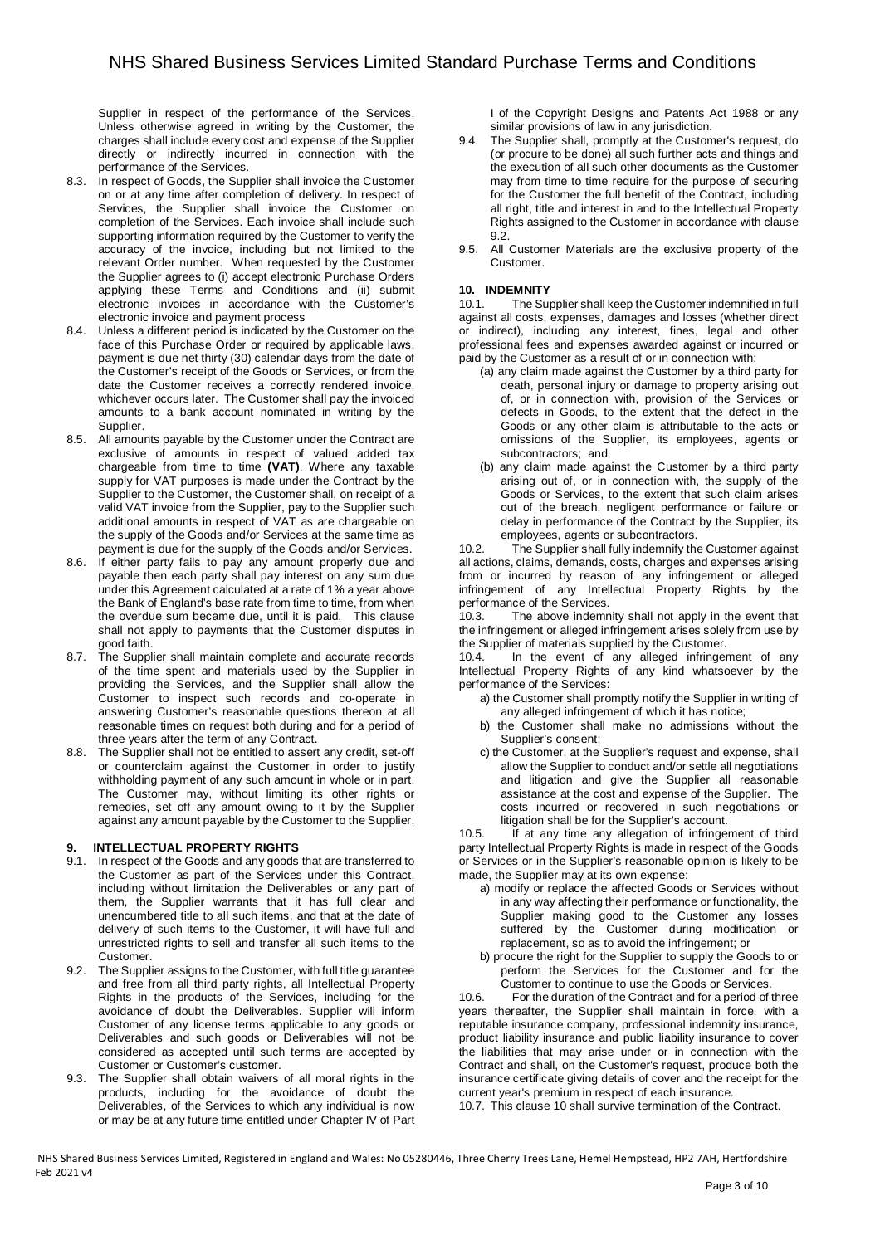Supplier in respect of the performance of the Services. Unless otherwise agreed in writing by the Customer, the charges shall include every cost and expense of the Supplier directly or indirectly incurred in connection with the performance of the Services.

- 8.3. In respect of Goods, the Supplier shall invoice the Customer on or at any time after completion of delivery. In respect of Services, the Supplier shall invoice the Customer on completion of the Services. Each invoice shall include such supporting information required by the Customer to verify the accuracy of the invoice, including but not limited to the relevant Order number. When requested by the Customer the Supplier agrees to (i) accept electronic Purchase Orders applying these Terms and Conditions and (ii) submit electronic invoices in accordance with the Customer's electronic invoice and payment process
- 8.4. Unless a different period is indicated by the Customer on the face of this Purchase Order or required by applicable laws, payment is due net thirty (30) calendar days from the date of the Customer's receipt of the Goods or Services, or from the date the Customer receives a correctly rendered invoice, whichever occurs later. The Customer shall pay the invoiced amounts to a bank account nominated in writing by the Supplier.
- 8.5. All amounts payable by the Customer under the Contract are exclusive of amounts in respect of valued added tax chargeable from time to time **(VAT)**. Where any taxable supply for VAT purposes is made under the Contract by the Supplier to the Customer, the Customer shall, on receipt of a valid VAT invoice from the Supplier, pay to the Supplier such additional amounts in respect of VAT as are chargeable on the supply of the Goods and/or Services at the same time as payment is due for the supply of the Goods and/or Services.
- 8.6. If either party fails to pay any amount properly due and payable then each party shall pay interest on any sum due under this Agreement calculated at a rate of 1% a year above the Bank of England's base rate from time to time, from when the overdue sum became due, until it is paid. This clause shall not apply to payments that the Customer disputes in good faith.
- 8.7. The Supplier shall maintain complete and accurate records of the time spent and materials used by the Supplier in providing the Services, and the Supplier shall allow the Customer to inspect such records and co-operate in answering Customer's reasonable questions thereon at all reasonable times on request both during and for a period of three years after the term of any Contract.
- 8.8. The Supplier shall not be entitled to assert any credit, set-off or counterclaim against the Customer in order to justify withholding payment of any such amount in whole or in part. The Customer may, without limiting its other rights or remedies, set off any amount owing to it by the Supplier against any amount payable by the Customer to the Supplier.

# **9. INTELLECTUAL PROPERTY RIGHTS**

- 9.1. In respect of the Goods and any goods that are transferred to the Customer as part of the Services under this Contract, including without limitation the Deliverables or any part of them, the Supplier warrants that it has full clear and unencumbered title to all such items, and that at the date of delivery of such items to the Customer, it will have full and unrestricted rights to sell and transfer all such items to the Customer.
- 9.2. The Supplier assigns to the Customer, with full title guarantee and free from all third party rights, all Intellectual Property Rights in the products of the Services, including for the avoidance of doubt the Deliverables. Supplier will inform Customer of any license terms applicable to any goods or Deliverables and such goods or Deliverables will not be considered as accepted until such terms are accepted by Customer or Customer's customer.
- 9.3. The Supplier shall obtain waivers of all moral rights in the products, including for the avoidance of doubt the Deliverables, of the Services to which any individual is now or may be at any future time entitled under Chapter IV of Part

I of the Copyright Designs and Patents Act 1988 or any similar provisions of law in any jurisdiction.

- 9.4. The Supplier shall, promptly at the Customer's request, do (or procure to be done) all such further acts and things and the execution of all such other documents as the Customer may from time to time require for the purpose of securing for the Customer the full benefit of the Contract, including all right, title and interest in and to the Intellectual Property Rights assigned to the Customer in accordance with clause 9.2.
- 9.5. All Customer Materials are the exclusive property of the Customer.

## **10. INDEMNITY**

10.1. The Supplier shall keep the Customer indemnified in full against all costs, expenses, damages and losses (whether direct or indirect), including any interest, fines, legal and other professional fees and expenses awarded against or incurred or paid by the Customer as a result of or in connection with:

- (a) any claim made against the Customer by a third party for death, personal injury or damage to property arising out of, or in connection with, provision of the Services or defects in Goods, to the extent that the defect in the Goods or any other claim is attributable to the acts or omissions of the Supplier, its employees, agents or subcontractors; and
- (b) any claim made against the Customer by a third party arising out of, or in connection with, the supply of the Goods or Services, to the extent that such claim arises out of the breach, negligent performance or failure or delay in performance of the Contract by the Supplier, its employees, agents or subcontractors.

10.2. The Supplier shall fully indemnify the Customer against all actions, claims, demands, costs, charges and expenses arising from or incurred by reason of any infringement or alleged infringement of any Intellectual Property Rights by the performance of the Services.

10.3. The above indemnity shall not apply in the event that the infringement or alleged infringement arises solely from use by the Supplier of materials supplied by the Customer.

10.4. In the event of any alleged infringement of any Intellectual Property Rights of any kind whatsoever by the performance of the Services:

- a) the Customer shall promptly notify the Supplier in writing of any alleged infringement of which it has notice;
- b) the Customer shall make no admissions without the Supplier's consent;
- c) the Customer, at the Supplier's request and expense, shall allow the Supplier to conduct and/or settle all negotiations and litigation and give the Supplier all reasonable assistance at the cost and expense of the Supplier. The costs incurred or recovered in such negotiations or litigation shall be for the Supplier's account.

10.5. If at any time any allegation of infringement of third party Intellectual Property Rights is made in respect of the Goods or Services or in the Supplier's reasonable opinion is likely to be made, the Supplier may at its own expense:

- a) modify or replace the affected Goods or Services without in any way affecting their performance or functionality, the Supplier making good to the Customer any losses suffered by the Customer during modification or replacement, so as to avoid the infringement; or
- b) procure the right for the Supplier to supply the Goods to or perform the Services for the Customer and for the Customer to continue to use the Goods or Services.

10.6. For the duration of the Contract and for a period of three years thereafter, the Supplier shall maintain in force, with a reputable insurance company, professional indemnity insurance, product liability insurance and public liability insurance to cover the liabilities that may arise under or in connection with the Contract and shall, on the Customer's request, produce both the insurance certificate giving details of cover and the receipt for the current year's premium in respect of each insurance.

10.7. This clause 10 shall survive termination of the Contract.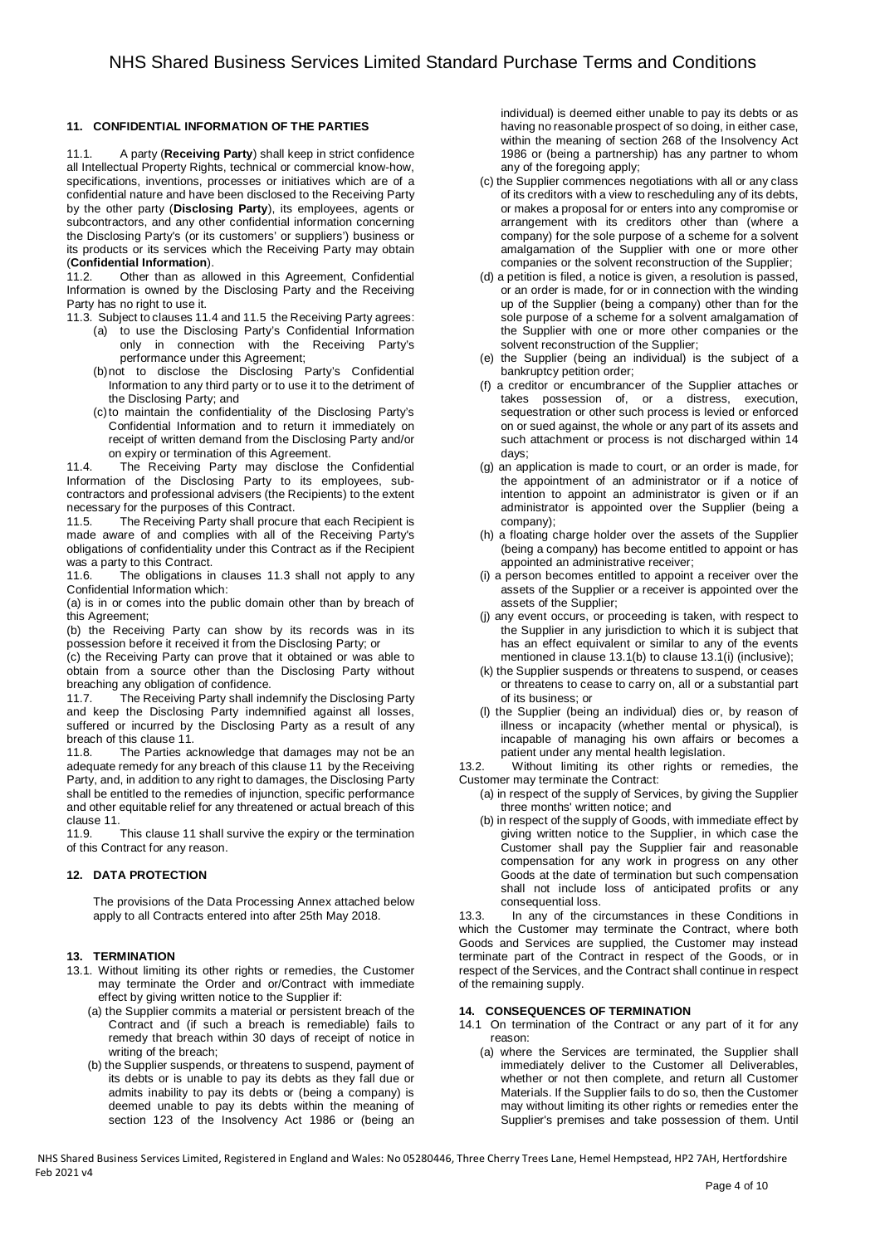## **11. CONFIDENTIAL INFORMATION OF THE PARTIES**

11.1. A party (**Receiving Party**) shall keep in strict confidence all Intellectual Property Rights, technical or commercial know-how, specifications, inventions, processes or initiatives which are of a confidential nature and have been disclosed to the Receiving Party by the other party (**Disclosing Party**), its employees, agents or subcontractors, and any other confidential information concerning the Disclosing Party's (or its customers' or suppliers') business or its products or its services which the Receiving Party may obtain (**Confidential Information**).

11.2. Other than as allowed in this Agreement, Confidential Information is owned by the Disclosing Party and the Receiving Party has no right to use it.

11.3. Subject to clauses 11.4 and 11.5 the Receiving Party agrees:

- (a) to use the Disclosing Party's Confidential Information only in connection with the Receiving Party's performance under this Agreement;
- (b) not to disclose the Disclosing Party's Confidential Information to any third party or to use it to the detriment of the Disclosing Party; and
- (c) to maintain the confidentiality of the Disclosing Party's Confidential Information and to return it immediately on receipt of written demand from the Disclosing Party and/or on expiry or termination of this Agreement.

11.4. The Receiving Party may disclose the Confidential Information of the Disclosing Party to its employees, subcontractors and professional advisers (the Recipients) to the extent necessary for the purposes of this Contract.

11.5. The Receiving Party shall procure that each Recipient is made aware of and complies with all of the Receiving Party's obligations of confidentiality under this Contract as if the Recipient was a party to this Contract.

11.6. The obligations in clauses 11.3 shall not apply to any Confidential Information which:

(a) is in or comes into the public domain other than by breach of this Agreement;

(b) the Receiving Party can show by its records was in its possession before it received it from the Disclosing Party; or

(c) the Receiving Party can prove that it obtained or was able to obtain from a source other than the Disclosing Party without breaching any obligation of confidence.

11.7. The Receiving Party shall indemnify the Disclosing Party and keep the Disclosing Party indemnified against all losses, suffered or incurred by the Disclosing Party as a result of any breach of this clause 11.

11.8. The Parties acknowledge that damages may not be an adequate remedy for any breach of this clause 11 by the Receiving Party, and, in addition to any right to damages, the Disclosing Party shall be entitled to the remedies of injunction, specific performance and other equitable relief for any threatened or actual breach of this clause 11.

11.9. This clause 11 shall survive the expiry or the termination of this Contract for any reason.

## **12. DATA PROTECTION**

The provisions of the Data Processing Annex attached below apply to all Contracts entered into after 25th May 2018.

## **13. TERMINATION**

- 13.1. Without limiting its other rights or remedies, the Customer may terminate the Order and or/Contract with immediate effect by giving written notice to the Supplier if:
	- (a) the Supplier commits a material or persistent breach of the Contract and (if such a breach is remediable) fails to remedy that breach within 30 days of receipt of notice in writing of the breach;
	- (b) the Supplier suspends, or threatens to suspend, payment of its debts or is unable to pay its debts as they fall due or admits inability to pay its debts or (being a company) is deemed unable to pay its debts within the meaning of section 123 of the Insolvency Act 1986 or (being an

individual) is deemed either unable to pay its debts or as having no reasonable prospect of so doing, in either case, within the meaning of section 268 of the Insolvency Act 1986 or (being a partnership) has any partner to whom any of the foregoing apply;

- (c) the Supplier commences negotiations with all or any class of its creditors with a view to rescheduling any of its debts, or makes a proposal for or enters into any compromise or arrangement with its creditors other than (where a company) for the sole purpose of a scheme for a solvent amalgamation of the Supplier with one or more other companies or the solvent reconstruction of the Supplier;
- (d) a petition is filed, a notice is given, a resolution is passed, or an order is made, for or in connection with the winding up of the Supplier (being a company) other than for the sole purpose of a scheme for a solvent amalgamation of the Supplier with one or more other companies or the solvent reconstruction of the Supplier;
- (e) the Supplier (being an individual) is the subject of a bankruptcy petition order;
- (f) a creditor or encumbrancer of the Supplier attaches or takes possession of, or a distress, execution, sequestration or other such process is levied or enforced on or sued against, the whole or any part of its assets and such attachment or process is not discharged within 14 days;
- (g) an application is made to court, or an order is made, for the appointment of an administrator or if a notice of intention to appoint an administrator is given or if an administrator is appointed over the Supplier (being a company);
- (h) a floating charge holder over the assets of the Supplier (being a company) has become entitled to appoint or has appointed an administrative receiver;
- (i) a person becomes entitled to appoint a receiver over the assets of the Supplier or a receiver is appointed over the assets of the Supplier;
- (j) any event occurs, or proceeding is taken, with respect to the Supplier in any jurisdiction to which it is subject that has an effect equivalent or similar to any of the events mentioned in clause 13.1(b) to clause 13.1(i) (inclusive);
- (k) the Supplier suspends or threatens to suspend, or ceases or threatens to cease to carry on, all or a substantial part of its business; or
- (l) the Supplier (being an individual) dies or, by reason of illness or incapacity (whether mental or physical), is incapable of managing his own affairs or becomes a patient under any mental health legislation.

13.2. Without limiting its other rights or remedies, the Customer may terminate the Contract:

- (a) in respect of the supply of Services, by giving the Supplier three months' written notice; and
- (b) in respect of the supply of Goods, with immediate effect by giving written notice to the Supplier, in which case the Customer shall pay the Supplier fair and reasonable compensation for any work in progress on any other Goods at the date of termination but such compensation shall not include loss of anticipated profits or any consequential loss.

13.3. In any of the circumstances in these Conditions in which the Customer may terminate the Contract, where both Goods and Services are supplied, the Customer may instead terminate part of the Contract in respect of the Goods, or in respect of the Services, and the Contract shall continue in respect of the remaining supply.

## **14. CONSEQUENCES OF TERMINATION**

- 14.1 On termination of the Contract or any part of it for any reason:
	- (a) where the Services are terminated, the Supplier shall immediately deliver to the Customer all Deliverables, whether or not then complete, and return all Customer Materials. If the Supplier fails to do so, then the Customer may without limiting its other rights or remedies enter the Supplier's premises and take possession of them. Until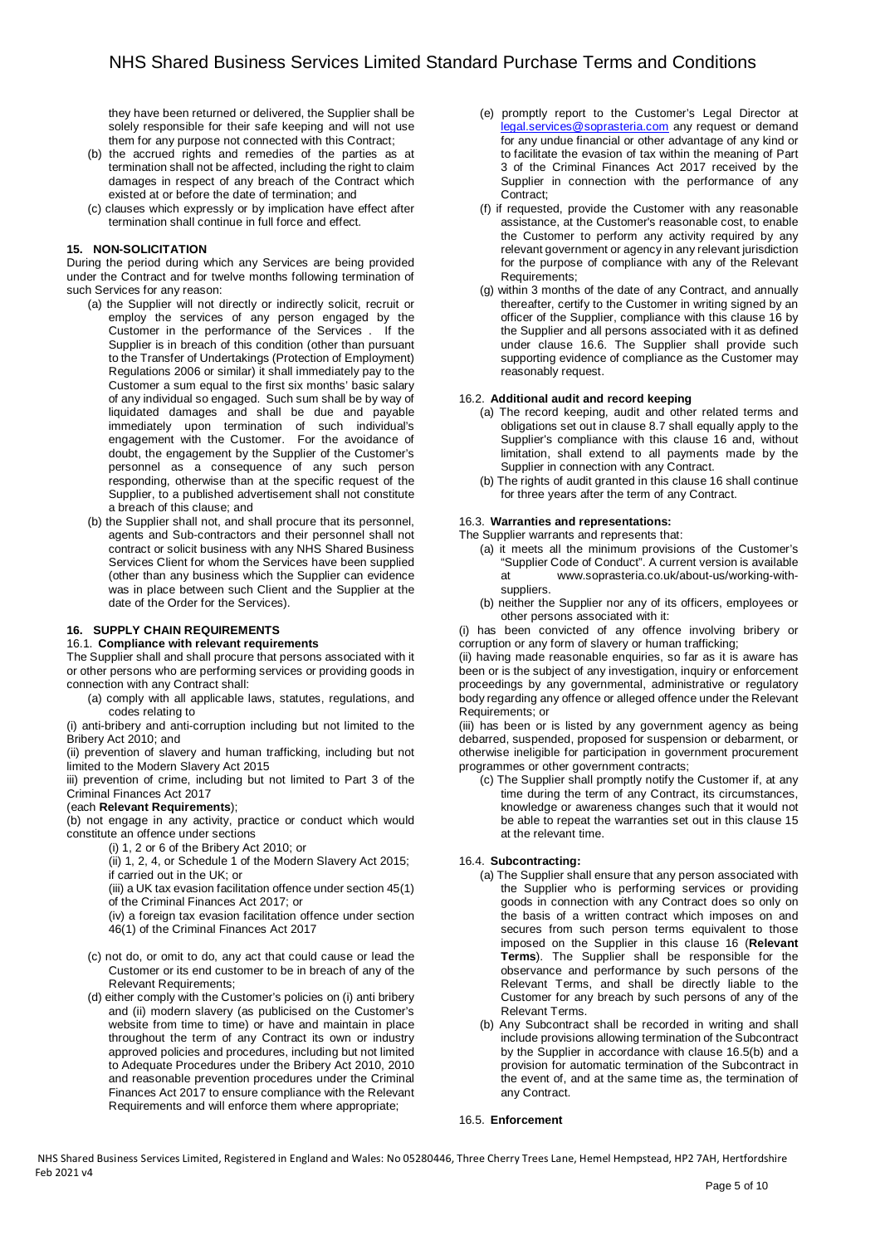they have been returned or delivered, the Supplier shall be solely responsible for their safe keeping and will not use them for any purpose not connected with this Contract;

- (b) the accrued rights and remedies of the parties as at termination shall not be affected, including the right to claim damages in respect of any breach of the Contract which existed at or before the date of termination; and
- (c) clauses which expressly or by implication have effect after termination shall continue in full force and effect.

## **15. NON-SOLICITATION**

During the period during which any Services are being provided under the Contract and for twelve months following termination of such Services for any reason:

- (a) the Supplier will not directly or indirectly solicit, recruit or employ the services of any person engaged by the Customer in the performance of the Services . If the Supplier is in breach of this condition (other than pursuant to the Transfer of Undertakings (Protection of Employment) Regulations 2006 or similar) it shall immediately pay to the Customer a sum equal to the first six months' basic salary of any individual so engaged. Such sum shall be by way of liquidated damages and shall be due and payable immediately upon termination of such individual's engagement with the Customer. For the avoidance of doubt, the engagement by the Supplier of the Customer's personnel as a consequence of any such person responding, otherwise than at the specific request of the Supplier, to a published advertisement shall not constitute a breach of this clause; and
- (b) the Supplier shall not, and shall procure that its personnel, agents and Sub-contractors and their personnel shall not contract or solicit business with any NHS Shared Business Services Client for whom the Services have been supplied (other than any business which the Supplier can evidence was in place between such Client and the Supplier at the date of the Order for the Services).

## **16. SUPPLY CHAIN REQUIREMENTS**

## 16.1. **Compliance with relevant requirements**

The Supplier shall and shall procure that persons associated with it or other persons who are performing services or providing goods in connection with any Contract shall:

(a) comply with all applicable laws, statutes, regulations, and codes relating to

(i) anti-bribery and anti-corruption including but not limited to the Bribery Act 2010; and

(ii) prevention of slavery and human trafficking, including but not limited to the Modern Slavery Act 2015

iii) prevention of crime, including but not limited to Part 3 of the Criminal Finances Act 2017

#### (each **Relevant Requirements**);

(b) not engage in any activity, practice or conduct which would constitute an offence under sections

(i) 1, 2 or 6 of the Bribery Act 2010; or

(ii) 1, 2, 4, or Schedule 1 of the Modern Slavery Act 2015; if carried out in the UK; or

(iii) a UK tax evasion facilitation offence under section 45(1) of the Criminal Finances Act 2017; or

(iv) a foreign tax evasion facilitation offence under section 46(1) of the Criminal Finances Act 2017

- (c) not do, or omit to do, any act that could cause or lead the Customer or its end customer to be in breach of any of the Relevant Requirements;
- (d) either comply with the Customer's policies on (i) anti bribery and (ii) modern slavery (as publicised on the Customer's website from time to time) or have and maintain in place throughout the term of any Contract its own or industry approved policies and procedures, including but not limited to Adequate Procedures under the Bribery Act 2010, 2010 and reasonable prevention procedures under the Criminal Finances Act 2017 to ensure compliance with the Relevant Requirements and will enforce them where appropriate;
- (e) promptly report to the Customer's Legal Director at legal.services@soprasteria.com any request or demand for any undue financial or other advantage of any kind or to facilitate the evasion of tax within the meaning of Part 3 of the Criminal Finances Act 2017 received by the Supplier in connection with the performance of any Contract;
- (f) if requested, provide the Customer with any reasonable assistance, at the Customer's reasonable cost, to enable the Customer to perform any activity required by any relevant government or agency in any relevant jurisdiction for the purpose of compliance with any of the Relevant Requirements;
- (g) within 3 months of the date of any Contract, and annually thereafter, certify to the Customer in writing signed by an officer of the Supplier, compliance with this clause 16 by the Supplier and all persons associated with it as defined under clause 16.6. The Supplier shall provide such supporting evidence of compliance as the Customer may reasonably request.

# 16.2. **Additional audit and record keeping**

- (a) The record keeping, audit and other related terms and obligations set out in clause 8.7 shall equally apply to the Supplier's compliance with this clause 16 and, without limitation, shall extend to all payments made by the Supplier in connection with any Contract.
- (b) The rights of audit granted in this clause 16 shall continue for three years after the term of any Contract.

#### 16.3. **Warranties and representations:**

- The Supplier warrants and represents that:
	- (a) it meets all the minimum provisions of the Customer's "Supplier Code of Conduct". A current version is available at www.soprasteria.co.uk/about-us/working-withsuppliers.
	- (b) neither the Supplier nor any of its officers, employees or other persons associated with it:

(i) has been convicted of any offence involving bribery or corruption or any form of slavery or human trafficking;

(ii) having made reasonable enquiries, so far as it is aware has been or is the subject of any investigation, inquiry or enforcement proceedings by any governmental, administrative or regulatory body regarding any offence or alleged offence under the Relevant Requirements; or

(iii) has been or is listed by any government agency as being debarred, suspended, proposed for suspension or debarment, or otherwise ineligible for participation in government procurement programmes or other government contracts;

(c) The Supplier shall promptly notify the Customer if, at any time during the term of any Contract, its circumstances, knowledge or awareness changes such that it would not be able to repeat the warranties set out in this clause 15 at the relevant time.

#### 16.4. **Subcontracting:**

- (a) The Supplier shall ensure that any person associated with the Supplier who is performing services or providing goods in connection with any Contract does so only on the basis of a written contract which imposes on and secures from such person terms equivalent to those imposed on the Supplier in this clause 16 (**Relevant Terms**). The Supplier shall be responsible for the observance and performance by such persons of the Relevant Terms, and shall be directly liable to the Customer for any breach by such persons of any of the Relevant Terms.
- (b) Any Subcontract shall be recorded in writing and shall include provisions allowing termination of the Subcontract by the Supplier in accordance with clause 16.5(b) and a provision for automatic termination of the Subcontract in the event of, and at the same time as, the termination of any Contract.

#### 16.5. **Enforcement**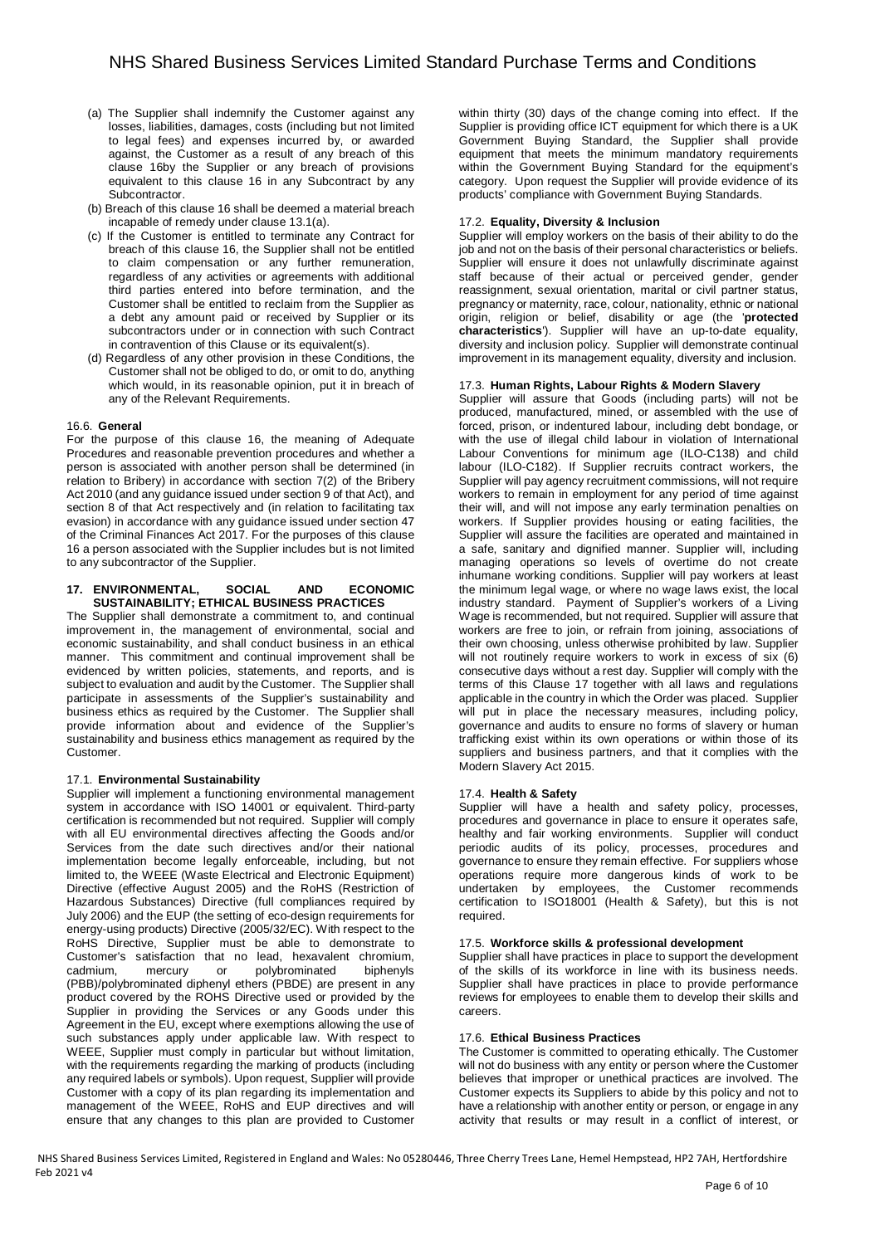- (a) The Supplier shall indemnify the Customer against any losses, liabilities, damages, costs (including but not limited to legal fees) and expenses incurred by, or awarded against, the Customer as a result of any breach of this clause 16by the Supplier or any breach of provisions equivalent to this clause 16 in any Subcontract by any Subcontractor.
- (b) Breach of this clause 16 shall be deemed a material breach incapable of remedy under clause 13.1(a).
- (c) If the Customer is entitled to terminate any Contract for breach of this clause 16, the Supplier shall not be entitled to claim compensation or any further remuneration, regardless of any activities or agreements with additional third parties entered into before termination, and the Customer shall be entitled to reclaim from the Supplier as a debt any amount paid or received by Supplier or its subcontractors under or in connection with such Contract in contravention of this Clause or its equivalent(s).
- (d) Regardless of any other provision in these Conditions, the Customer shall not be obliged to do, or omit to do, anything which would, in its reasonable opinion, put it in breach of any of the Relevant Requirements.

## 16.6. **General**

For the purpose of this clause 16, the meaning of Adequate Procedures and reasonable prevention procedures and whether a person is associated with another person shall be determined (in relation to Bribery) in accordance with section 7(2) of the Bribery Act 2010 (and any guidance issued under section 9 of that Act), and section 8 of that Act respectively and (in relation to facilitating tax evasion) in accordance with any guidance issued under section 47 of the Criminal Finances Act 2017. For the purposes of this clause 16 a person associated with the Supplier includes but is not limited to any subcontractor of the Supplier.

#### **17. ENVIRONMENTAL, SOCIAL AND ECONOMIC SUSTAINABILITY; ETHICAL BUSINESS PRACTICES**

The Supplier shall demonstrate a commitment to, and continual improvement in, the management of environmental, social and economic sustainability, and shall conduct business in an ethical manner. This commitment and continual improvement shall be evidenced by written policies, statements, and reports, and is subject to evaluation and audit by the Customer. The Supplier shall participate in assessments of the Supplier's sustainability and business ethics as required by the Customer. The Supplier shall provide information about and evidence of the Supplier's sustainability and business ethics management as required by the Customer.

## 17.1. **Environmental Sustainability**

Supplier will implement a functioning environmental management system in accordance with ISO 14001 or equivalent. Third-party certification is recommended but not required. Supplier will comply with all EU environmental directives affecting the Goods and/or Services from the date such directives and/or their national implementation become legally enforceable, including, but not limited to, the WEEE (Waste Electrical and Electronic Equipment) Directive (effective August 2005) and the RoHS (Restriction of Hazardous Substances) Directive (full compliances required by July 2006) and the EUP (the setting of eco-design requirements for energy-using products) Directive (2005/32/EC). With respect to the RoHS Directive, Supplier must be able to demonstrate to Customer's satisfaction that no lead, hexavalent chromium, cadmium, mercury or polybrominated biphenyls (PBB)/polybrominated diphenyl ethers (PBDE) are present in any product covered by the ROHS Directive used or provided by the Supplier in providing the Services or any Goods under this Agreement in the EU, except where exemptions allowing the use of such substances apply under applicable law. With respect to WEEE, Supplier must comply in particular but without limitation, with the requirements regarding the marking of products (including any required labels or symbols). Upon request, Supplier will provide Customer with a copy of its plan regarding its implementation and management of the WEEE, RoHS and EUP directives and will ensure that any changes to this plan are provided to Customer within thirty (30) days of the change coming into effect. If the Supplier is providing office ICT equipment for which there is a UK Government Buying Standard, the Supplier shall provide equipment that meets the minimum mandatory requirements within the Government Buying Standard for the equipment's category. Upon request the Supplier will provide evidence of its products' compliance with Government Buying Standards.

## 17.2. **Equality, Diversity & Inclusion**

Supplier will employ workers on the basis of their ability to do the job and not on the basis of their personal characteristics or beliefs. Supplier will ensure it does not unlawfully discriminate against staff because of their actual or perceived gender, gender reassignment, sexual orientation, marital or civil partner status, pregnancy or maternity, race, colour, nationality, ethnic or national origin, religion or belief, disability or age (the '**protected characteristics**'). Supplier will have an up-to-date equality, diversity and inclusion policy. Supplier will demonstrate continual improvement in its management equality, diversity and inclusion.

## 17.3. **Human Rights, Labour Rights & Modern Slavery**

Supplier will assure that Goods (including parts) will not be produced, manufactured, mined, or assembled with the use of forced, prison, or indentured labour, including debt bondage, or with the use of illegal child labour in violation of International Labour Conventions for minimum age (ILO-C138) and child labour (ILO-C182). If Supplier recruits contract workers, the Supplier will pay agency recruitment commissions, will not require workers to remain in employment for any period of time against their will, and will not impose any early termination penalties on workers. If Supplier provides housing or eating facilities, the Supplier will assure the facilities are operated and maintained in a safe, sanitary and dignified manner. Supplier will, including managing operations so levels of overtime do not create inhumane working conditions. Supplier will pay workers at least the minimum legal wage, or where no wage laws exist, the local industry standard. Payment of Supplier's workers of a Living Wage is recommended, but not required. Supplier will assure that workers are free to join, or refrain from joining, associations of their own choosing, unless otherwise prohibited by law. Supplier will not routinely require workers to work in excess of six (6) consecutive days without a rest day. Supplier will comply with the terms of this Clause 17 together with all laws and regulations applicable in the country in which the Order was placed. Supplier will put in place the necessary measures, including policy, governance and audits to ensure no forms of slavery or human trafficking exist within its own operations or within those of its suppliers and business partners, and that it complies with the Modern Slavery Act 2015.

## 17.4. **Health & Safety**

Supplier will have a health and safety policy, processes, procedures and governance in place to ensure it operates safe, healthy and fair working environments. Supplier will conduct periodic audits of its policy, processes, procedures and governance to ensure they remain effective. For suppliers whose operations require more dangerous kinds of work to be undertaken by employees, the Customer recommends certification to ISO18001 (Health & Safety), but this is not required.

## 17.5. **Workforce skills & professional development**

Supplier shall have practices in place to support the development of the skills of its workforce in line with its business needs. Supplier shall have practices in place to provide performance reviews for employees to enable them to develop their skills and careers.

## 17.6. **Ethical Business Practices**

The Customer is committed to operating ethically. The Customer will not do business with any entity or person where the Customer believes that improper or unethical practices are involved. The Customer expects its Suppliers to abide by this policy and not to have a relationship with another entity or person, or engage in any activity that results or may result in a conflict of interest, or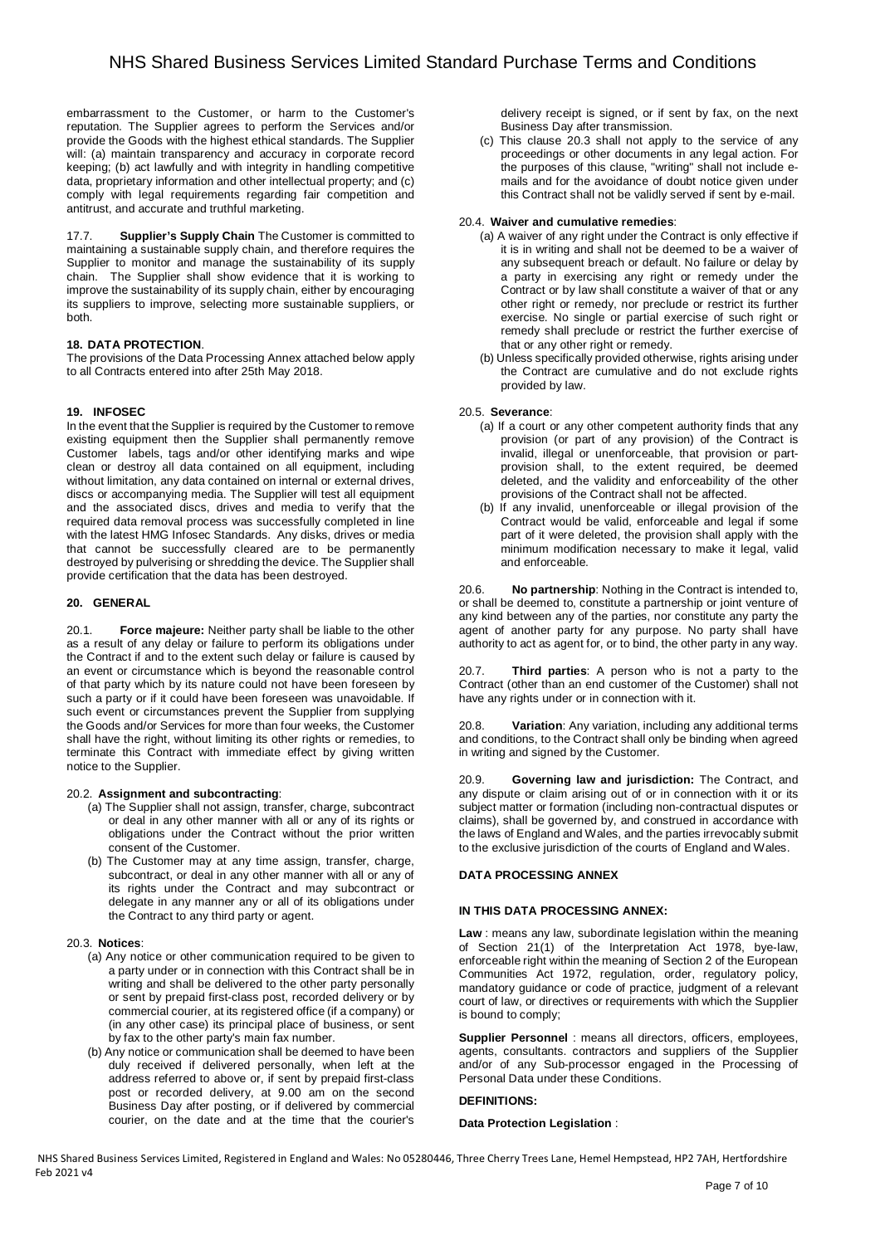embarrassment to the Customer, or harm to the Customer's reputation. The Supplier agrees to perform the Services and/or provide the Goods with the highest ethical standards. The Supplier will: (a) maintain transparency and accuracy in corporate record keeping; (b) act lawfully and with integrity in handling competitive data, proprietary information and other intellectual property; and (c) comply with legal requirements regarding fair competition and antitrust, and accurate and truthful marketing.

17.7. **Supplier's Supply Chain** The Customer is committed to maintaining a sustainable supply chain, and therefore requires the Supplier to monitor and manage the sustainability of its supply chain. The Supplier shall show evidence that it is working to improve the sustainability of its supply chain, either by encouraging its suppliers to improve, selecting more sustainable suppliers, or both.

## **18. DATA PROTECTION**.

The provisions of the Data Processing Annex attached below apply to all Contracts entered into after 25th May 2018.

## **19. INFOSEC**

In the event that the Supplier is required by the Customer to remove existing equipment then the Supplier shall permanently remove Customer labels, tags and/or other identifying marks and wipe clean or destroy all data contained on all equipment, including without limitation, any data contained on internal or external drives, discs or accompanying media. The Supplier will test all equipment and the associated discs, drives and media to verify that the required data removal process was successfully completed in line with the latest HMG Infosec Standards. Any disks, drives or media that cannot be successfully cleared are to be permanently destroyed by pulverising or shredding the device. The Supplier shall provide certification that the data has been destroyed.

## **20. GENERAL**

20.1. **Force majeure:** Neither party shall be liable to the other as a result of any delay or failure to perform its obligations under the Contract if and to the extent such delay or failure is caused by an event or circumstance which is beyond the reasonable control of that party which by its nature could not have been foreseen by such a party or if it could have been foreseen was unavoidable. If such event or circumstances prevent the Supplier from supplying the Goods and/or Services for more than four weeks, the Customer shall have the right, without limiting its other rights or remedies, to terminate this Contract with immediate effect by giving written notice to the Supplier.

## 20.2. **Assignment and subcontracting**:

- (a) The Supplier shall not assign, transfer, charge, subcontract or deal in any other manner with all or any of its rights or obligations under the Contract without the prior written consent of the Customer.
- (b) The Customer may at any time assign, transfer, charge, subcontract, or deal in any other manner with all or any of its rights under the Contract and may subcontract or delegate in any manner any or all of its obligations under the Contract to any third party or agent.

## 20.3. **Notices**:

- (a) Any notice or other communication required to be given to a party under or in connection with this Contract shall be in writing and shall be delivered to the other party personally or sent by prepaid first-class post, recorded delivery or by commercial courier, at its registered office (if a company) or (in any other case) its principal place of business, or sent by fax to the other party's main fax number.
- (b) Any notice or communication shall be deemed to have been duly received if delivered personally, when left at the address referred to above or, if sent by prepaid first-class post or recorded delivery, at 9.00 am on the second Business Day after posting, or if delivered by commercial courier, on the date and at the time that the courier's

delivery receipt is signed, or if sent by fax, on the next Business Day after transmission.

(c) This clause 20.3 shall not apply to the service of any proceedings or other documents in any legal action. For the purposes of this clause, "writing" shall not include emails and for the avoidance of doubt notice given under this Contract shall not be validly served if sent by e-mail.

## 20.4. **Waiver and cumulative remedies**:

- (a) A waiver of any right under the Contract is only effective if it is in writing and shall not be deemed to be a waiver of any subsequent breach or default. No failure or delay by a party in exercising any right or remedy under the Contract or by law shall constitute a waiver of that or any other right or remedy, nor preclude or restrict its further exercise. No single or partial exercise of such right or remedy shall preclude or restrict the further exercise of that or any other right or remedy.
- (b) Unless specifically provided otherwise, rights arising under the Contract are cumulative and do not exclude rights provided by law.

## 20.5. **Severance**:

- (a) If a court or any other competent authority finds that any provision (or part of any provision) of the Contract is invalid, illegal or unenforceable, that provision or partprovision shall, to the extent required, be deemed deleted, and the validity and enforceability of the other provisions of the Contract shall not be affected.
- (b) If any invalid, unenforceable or illegal provision of the Contract would be valid, enforceable and legal if some part of it were deleted, the provision shall apply with the minimum modification necessary to make it legal, valid and enforceable.

20.6. **No partnership**: Nothing in the Contract is intended to, or shall be deemed to, constitute a partnership or joint venture of any kind between any of the parties, nor constitute any party the agent of another party for any purpose. No party shall have authority to act as agent for, or to bind, the other party in any way.

20.7. **Third parties**: A person who is not a party to the Contract (other than an end customer of the Customer) shall not have any rights under or in connection with it.

20.8. **Variation**: Any variation, including any additional terms and conditions, to the Contract shall only be binding when agreed in writing and signed by the Customer.

Governing law and jurisdiction: The Contract, and any dispute or claim arising out of or in connection with it or its subject matter or formation (including non-contractual disputes or claims), shall be governed by, and construed in accordance with the laws of England and Wales, and the parties irrevocably submit to the exclusive jurisdiction of the courts of England and Wales.

## **DATA PROCESSING ANNEX**

## **IN THIS DATA PROCESSING ANNEX:**

**Law** : means any law, subordinate legislation within the meaning of Section 21(1) of the Interpretation Act 1978, bye-law, enforceable right within the meaning of Section 2 of the European Communities Act 1972, regulation, order, regulatory policy, mandatory guidance or code of practice, judgment of a relevant court of law, or directives or requirements with which the Supplier is bound to comply;

**Supplier Personnel** : means all directors, officers, employees, agents, consultants. contractors and suppliers of the Supplier and/or of any Sub-processor engaged in the Processing of Personal Data under these Conditions.

## **DEFINITIONS:**

#### **Data Protection Legislation** :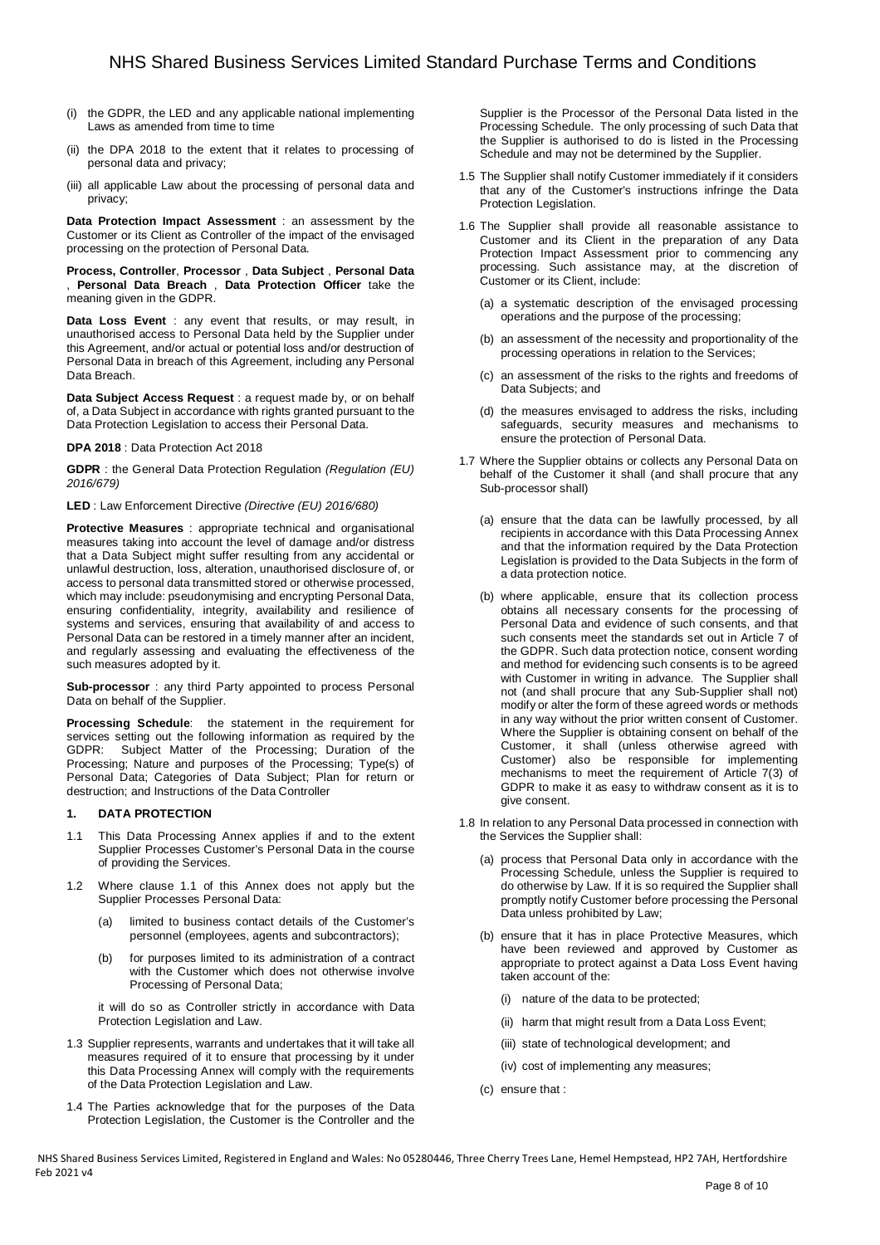- (i) the GDPR, the LED and any applicable national implementing Laws as amended from time to time
- (ii) the DPA 2018 to the extent that it relates to processing of personal data and privacy;
- (iii) all applicable Law about the processing of personal data and privacy;

**Data Protection Impact Assessment** : an assessment by the Customer or its Client as Controller of the impact of the envisaged processing on the protection of Personal Data.

**Process, Controller**, **Processor** , **Data Subject** , **Personal Data**  , **Personal Data Breach** , **Data Protection Officer** take the meaning given in the GDPR.

**Data Loss Event** : any event that results, or may result, in unauthorised access to Personal Data held by the Supplier under this Agreement, and/or actual or potential loss and/or destruction of Personal Data in breach of this Agreement, including any Personal Data Breach.

**Data Subject Access Request** : a request made by, or on behalf of, a Data Subject in accordance with rights granted pursuant to the Data Protection Legislation to access their Personal Data.

**DPA 2018** : Data Protection Act 2018

**GDPR** : the General Data Protection Regulation (Regulation (EU) 2016/679)

**LED** : Law Enforcement Directive (Directive (EU) 2016/680)

**Protective Measures** : appropriate technical and organisational measures taking into account the level of damage and/or distress that a Data Subject might suffer resulting from any accidental or unlawful destruction, loss, alteration, unauthorised disclosure of, or access to personal data transmitted stored or otherwise processed, which may include: pseudonymising and encrypting Personal Data, ensuring confidentiality, integrity, availability and resilience of systems and services, ensuring that availability of and access to Personal Data can be restored in a timely manner after an incident, and regularly assessing and evaluating the effectiveness of the such measures adopted by it.

**Sub-processor** : any third Party appointed to process Personal Data on behalf of the Supplier.

**Processing Schedule**: the statement in the requirement for services setting out the following information as required by the GDPR: Subject Matter of the Processing; Duration of the Processing; Nature and purposes of the Processing; Type(s) of Personal Data; Categories of Data Subject; Plan for return or destruction; and Instructions of the Data Controller

## **1. DATA PROTECTION**

- 1.1 This Data Processing Annex applies if and to the extent Supplier Processes Customer's Personal Data in the course of providing the Services.
- 1.2 Where clause 1.1 of this Annex does not apply but the Supplier Processes Personal Data:
	- (a) limited to business contact details of the Customer's personnel (employees, agents and subcontractors);
	- (b) for purposes limited to its administration of a contract with the Customer which does not otherwise involve Processing of Personal Data;

it will do so as Controller strictly in accordance with Data Protection Legislation and Law.

- 1.3 Supplier represents, warrants and undertakes that it will take all measures required of it to ensure that processing by it under this Data Processing Annex will comply with the requirements of the Data Protection Legislation and Law.
- 1.4 The Parties acknowledge that for the purposes of the Data Protection Legislation, the Customer is the Controller and the

Supplier is the Processor of the Personal Data listed in the Processing Schedule. The only processing of such Data that the Supplier is authorised to do is listed in the Processing Schedule and may not be determined by the Supplier.

- 1.5 The Supplier shall notify Customer immediately if it considers that any of the Customer's instructions infringe the Data Protection Legislation.
- 1.6 The Supplier shall provide all reasonable assistance to Customer and its Client in the preparation of any Data Protection Impact Assessment prior to commencing any processing. Such assistance may, at the discretion of Customer or its Client, include:
	- (a) a systematic description of the envisaged processing operations and the purpose of the processing;
	- (b) an assessment of the necessity and proportionality of the processing operations in relation to the Services;
	- (c) an assessment of the risks to the rights and freedoms of Data Subjects; and
	- (d) the measures envisaged to address the risks, including safeguards, security measures and mechanisms to ensure the protection of Personal Data.
- 1.7 Where the Supplier obtains or collects any Personal Data on behalf of the Customer it shall (and shall procure that any Sub-processor shall)
	- (a) ensure that the data can be lawfully processed, by all recipients in accordance with this Data Processing Annex and that the information required by the Data Protection Legislation is provided to the Data Subjects in the form of a data protection notice.
	- (b) where applicable, ensure that its collection process obtains all necessary consents for the processing of Personal Data and evidence of such consents, and that such consents meet the standards set out in Article 7 of the GDPR. Such data protection notice, consent wording and method for evidencing such consents is to be agreed with Customer in writing in advance. The Supplier shall not (and shall procure that any Sub-Supplier shall not) modify or alter the form of these agreed words or methods in any way without the prior written consent of Customer. Where the Supplier is obtaining consent on behalf of the Customer, it shall (unless otherwise agreed with Customer) also be responsible for implementing mechanisms to meet the requirement of Article 7(3) of GDPR to make it as easy to withdraw consent as it is to give consent.
- 1.8 In relation to any Personal Data processed in connection with the Services the Supplier shall:
	- (a) process that Personal Data only in accordance with the Processing Schedule, unless the Supplier is required to do otherwise by Law. If it is so required the Supplier shall promptly notify Customer before processing the Personal Data unless prohibited by Law;
	- (b) ensure that it has in place Protective Measures, which have been reviewed and approved by Customer as appropriate to protect against a Data Loss Event having taken account of the:
		- (i) nature of the data to be protected;
		- (ii) harm that might result from a Data Loss Event;
		- (iii) state of technological development; and
		- (iv) cost of implementing any measures;
	- (c) ensure that :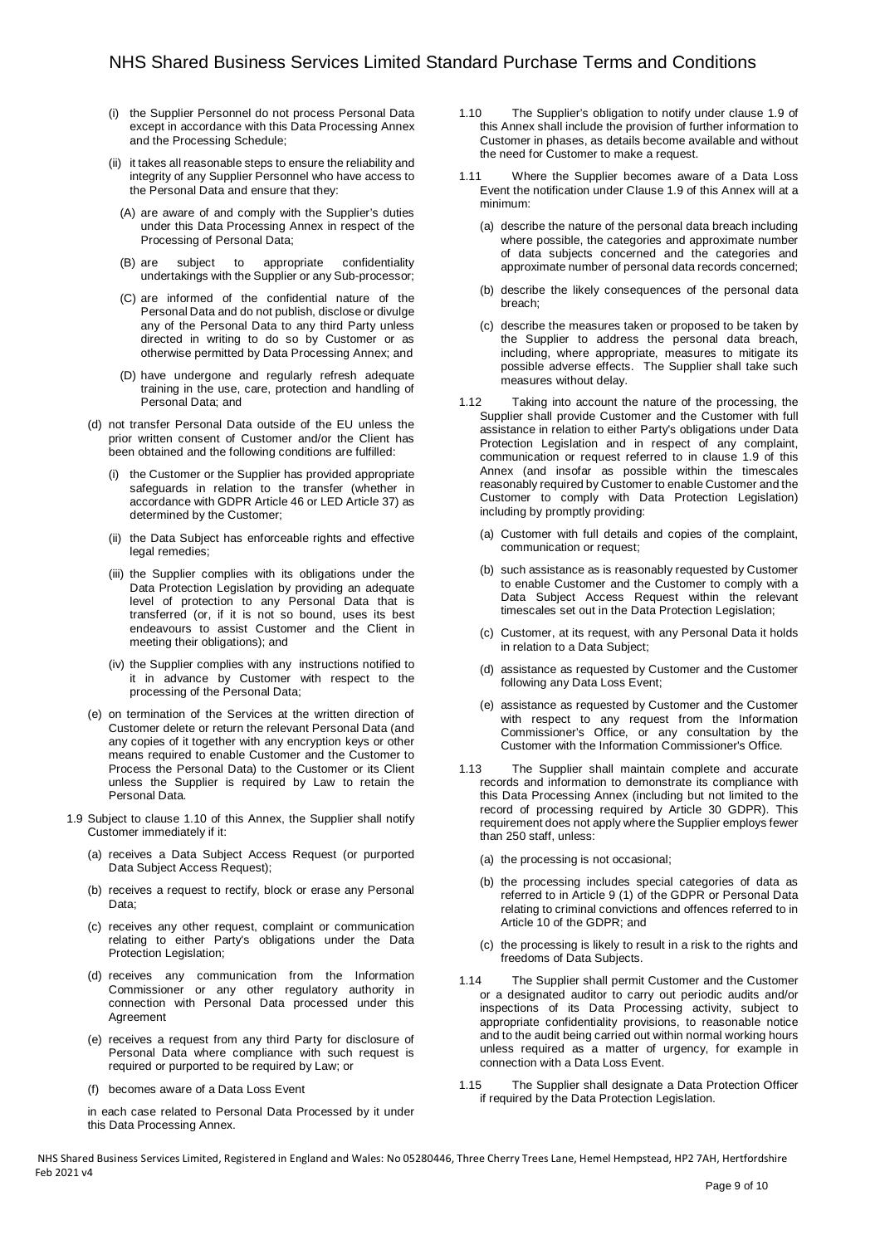- (i) the Supplier Personnel do not process Personal Data except in accordance with this Data Processing Annex and the Processing Schedule;
- (ii) it takes all reasonable steps to ensure the reliability and integrity of any Supplier Personnel who have access to the Personal Data and ensure that they:
	- (A) are aware of and comply with the Supplier's duties under this Data Processing Annex in respect of the Processing of Personal Data;
	- (B) are subject to appropriate confidentiality undertakings with the Supplier or any Sub-processor;
	- (C) are informed of the confidential nature of the Personal Data and do not publish, disclose or divulge any of the Personal Data to any third Party unless directed in writing to do so by Customer or as otherwise permitted by Data Processing Annex; and
	- (D) have undergone and regularly refresh adequate training in the use, care, protection and handling of Personal Data; and
- (d) not transfer Personal Data outside of the EU unless the prior written consent of Customer and/or the Client has been obtained and the following conditions are fulfilled:
	- (i) the Customer or the Supplier has provided appropriate safeguards in relation to the transfer (whether in accordance with GDPR Article 46 or LED Article 37) as determined by the Customer;
	- (ii) the Data Subject has enforceable rights and effective legal remedies;
	- (iii) the Supplier complies with its obligations under the Data Protection Legislation by providing an adequate level of protection to any Personal Data that is transferred (or, if it is not so bound, uses its best endeavours to assist Customer and the Client in meeting their obligations); and
	- (iv) the Supplier complies with any instructions notified to it in advance by Customer with respect to the processing of the Personal Data;
- (e) on termination of the Services at the written direction of Customer delete or return the relevant Personal Data (and any copies of it together with any encryption keys or other means required to enable Customer and the Customer to Process the Personal Data) to the Customer or its Client unless the Supplier is required by Law to retain the Personal Data.
- 1.9 Subject to clause 1.10 of this Annex, the Supplier shall notify Customer immediately if it:
	- (a) receives a Data Subject Access Request (or purported Data Subject Access Request):
	- (b) receives a request to rectify, block or erase any Personal Data;
	- (c) receives any other request, complaint or communication relating to either Party's obligations under the Data Protection Legislation;
	- (d) receives any communication from the Information Commissioner or any other regulatory authority in connection with Personal Data processed under this Agreement
	- (e) receives a request from any third Party for disclosure of Personal Data where compliance with such request is required or purported to be required by Law; or
	- (f) becomes aware of a Data Loss Event

in each case related to Personal Data Processed by it under this Data Processing Annex.

- 1.10 The Supplier's obligation to notify under clause 1.9 of this Annex shall include the provision of further information to Customer in phases, as details become available and without the need for Customer to make a request.
- 1.11 Where the Supplier becomes aware of a Data Loss Event the notification under Clause 1.9 of this Annex will at a minimum:
	- (a) describe the nature of the personal data breach including where possible, the categories and approximate number of data subjects concerned and the categories and approximate number of personal data records concerned;
	- (b) describe the likely consequences of the personal data breach;
	- (c) describe the measures taken or proposed to be taken by the Supplier to address the personal data breach, including, where appropriate, measures to mitigate its possible adverse effects. The Supplier shall take such measures without delay.
- 1.12 Taking into account the nature of the processing, the Supplier shall provide Customer and the Customer with full assistance in relation to either Party's obligations under Data Protection Legislation and in respect of any complaint, communication or request referred to in clause 1.9 of this Annex (and insofar as possible within the timescales reasonably required by Customer to enable Customer and the Customer to comply with Data Protection Legislation) including by promptly providing:
	- (a) Customer with full details and copies of the complaint, communication or request;
	- (b) such assistance as is reasonably requested by Customer to enable Customer and the Customer to comply with a Data Subject Access Request within the relevant timescales set out in the Data Protection Legislation;
	- (c) Customer, at its request, with any Personal Data it holds in relation to a Data Subject;
	- (d) assistance as requested by Customer and the Customer following any Data Loss Event;
	- (e) assistance as requested by Customer and the Customer with respect to any request from the Information Commissioner's Office, or any consultation by the Customer with the Information Commissioner's Office.
- 1.13 The Supplier shall maintain complete and accurate records and information to demonstrate its compliance with this Data Processing Annex (including but not limited to the record of processing required by Article 30 GDPR). This requirement does not apply where the Supplier employs fewer than 250 staff, unless:
	- (a) the processing is not occasional;
	- (b) the processing includes special categories of data as referred to in Article 9 (1) of the GDPR or Personal Data relating to criminal convictions and offences referred to in Article 10 of the GDPR; and
	- (c) the processing is likely to result in a risk to the rights and freedoms of Data Subjects.
- 1.14 The Supplier shall permit Customer and the Customer or a designated auditor to carry out periodic audits and/or inspections of its Data Processing activity, subject to appropriate confidentiality provisions, to reasonable notice and to the audit being carried out within normal working hours unless required as a matter of urgency, for example in connection with a Data Loss Event.
- 1.15 The Supplier shall designate a Data Protection Officer if required by the Data Protection Legislation.